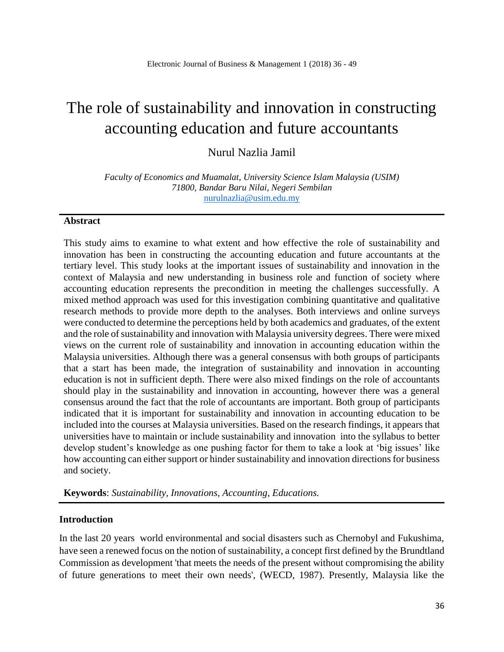# The role of sustainability and innovation in constructing accounting education and future accountants

Nurul Nazlia Jamil

*Faculty of Economics and Muamalat, University Science Islam Malaysia (USIM) 71800, Bandar Baru Nilai, Negeri Sembilan* [nurulnazlia@usim.edu.my](mailto:nurulnazlia@usim.edu.my)

#### **Abstract**

This study aims to examine to what extent and how effective the role of sustainability and innovation has been in constructing the accounting education and future accountants at the tertiary level. This study looks at the important issues of sustainability and innovation in the context of Malaysia and new understanding in business role and function of society where accounting education represents the precondition in meeting the challenges successfully. A mixed method approach was used for this investigation combining quantitative and qualitative research methods to provide more depth to the analyses. Both interviews and online surveys were conducted to determine the perceptions held by both academics and graduates, of the extent and the role of sustainability and innovation with Malaysia university degrees. There were mixed views on the current role of sustainability and innovation in accounting education within the Malaysia universities. Although there was a general consensus with both groups of participants that a start has been made, the integration of sustainability and innovation in accounting education is not in sufficient depth. There were also mixed findings on the role of accountants should play in the sustainability and innovation in accounting, however there was a general consensus around the fact that the role of accountants are important. Both group of participants indicated that it is important for sustainability and innovation in accounting education to be included into the courses at Malaysia universities. Based on the research findings, it appears that universities have to maintain or include sustainability and innovation into the syllabus to better develop student's knowledge as one pushing factor for them to take a look at 'big issues' like how accounting can either support or hinder sustainability and innovation directions for business and society.

**Keywords**: *Sustainability, Innovations, Accounting, Educations.*

#### **Introduction**

In the last 20 years world environmental and social disasters such as Chernobyl and Fukushima, have seen a renewed focus on the notion of sustainability, a concept first defined by the Brundtland Commission as development 'that meets the needs of the present without compromising the ability of future generations to meet their own needs', (WECD, 1987). Presently, Malaysia like the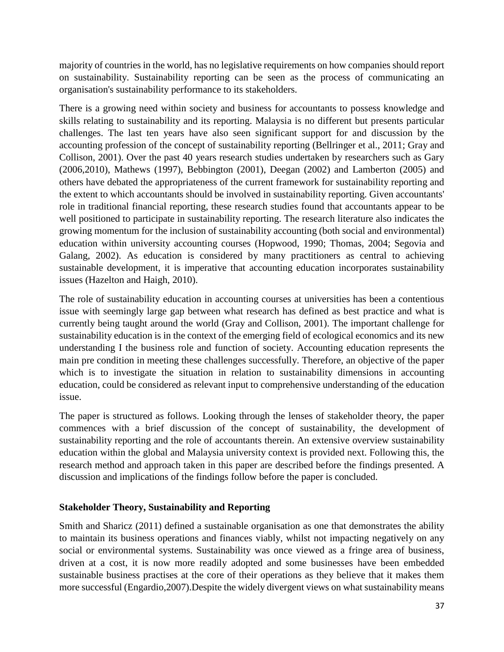majority of countries in the world, has no legislative requirements on how companies should report on sustainability. Sustainability reporting can be seen as the process of communicating an organisation's sustainability performance to its stakeholders.

There is a growing need within society and business for accountants to possess knowledge and skills relating to sustainability and its reporting. Malaysia is no different but presents particular challenges. The last ten years have also seen significant support for and discussion by the accounting profession of the concept of sustainability reporting (Bellringer et al., 2011; Gray and Collison, 2001). Over the past 40 years research studies undertaken by researchers such as Gary (2006,2010), Mathews (1997), Bebbington (2001), Deegan (2002) and Lamberton (2005) and others have debated the appropriateness of the current framework for sustainability reporting and the extent to which accountants should be involved in sustainability reporting. Given accountants' role in traditional financial reporting, these research studies found that accountants appear to be well positioned to participate in sustainability reporting. The research literature also indicates the growing momentum for the inclusion of sustainability accounting (both social and environmental) education within university accounting courses (Hopwood, 1990; Thomas, 2004; Segovia and Galang, 2002). As education is considered by many practitioners as central to achieving sustainable development, it is imperative that accounting education incorporates sustainability issues (Hazelton and Haigh, 2010).

The role of sustainability education in accounting courses at universities has been a contentious issue with seemingly large gap between what research has defined as best practice and what is currently being taught around the world (Gray and Collison, 2001). The important challenge for sustainability education is in the context of the emerging field of ecological economics and its new understanding I the business role and function of society. Accounting education represents the main pre condition in meeting these challenges successfully. Therefore, an objective of the paper which is to investigate the situation in relation to sustainability dimensions in accounting education, could be considered as relevant input to comprehensive understanding of the education issue.

The paper is structured as follows. Looking through the lenses of stakeholder theory, the paper commences with a brief discussion of the concept of sustainability, the development of sustainability reporting and the role of accountants therein. An extensive overview sustainability education within the global and Malaysia university context is provided next. Following this, the research method and approach taken in this paper are described before the findings presented. A discussion and implications of the findings follow before the paper is concluded.

# **Stakeholder Theory, Sustainability and Reporting**

Smith and Sharicz (2011) defined a sustainable organisation as one that demonstrates the ability to maintain its business operations and finances viably, whilst not impacting negatively on any social or environmental systems. Sustainability was once viewed as a fringe area of business, driven at a cost, it is now more readily adopted and some businesses have been embedded sustainable business practises at the core of their operations as they believe that it makes them more successful (Engardio,2007).Despite the widely divergent views on what sustainability means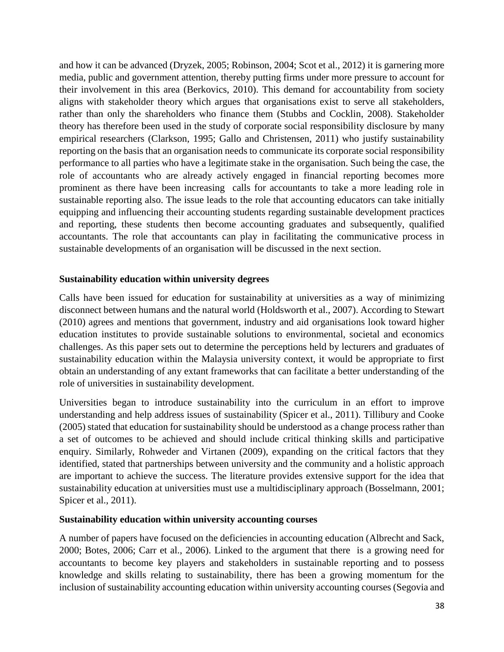and how it can be advanced (Dryzek, 2005; Robinson, 2004; Scot et al., 2012) it is garnering more media, public and government attention, thereby putting firms under more pressure to account for their involvement in this area (Berkovics, 2010). This demand for accountability from society aligns with stakeholder theory which argues that organisations exist to serve all stakeholders, rather than only the shareholders who finance them (Stubbs and Cocklin, 2008). Stakeholder theory has therefore been used in the study of corporate social responsibility disclosure by many empirical researchers (Clarkson, 1995; Gallo and Christensen, 2011) who justify sustainability reporting on the basis that an organisation needs to communicate its corporate social responsibility performance to all parties who have a legitimate stake in the organisation. Such being the case, the role of accountants who are already actively engaged in financial reporting becomes more prominent as there have been increasing calls for accountants to take a more leading role in sustainable reporting also. The issue leads to the role that accounting educators can take initially equipping and influencing their accounting students regarding sustainable development practices and reporting, these students then become accounting graduates and subsequently, qualified accountants. The role that accountants can play in facilitating the communicative process in sustainable developments of an organisation will be discussed in the next section.

## **Sustainability education within university degrees**

Calls have been issued for education for sustainability at universities as a way of minimizing disconnect between humans and the natural world (Holdsworth et al., 2007). According to Stewart (2010) agrees and mentions that government, industry and aid organisations look toward higher education institutes to provide sustainable solutions to environmental, societal and economics challenges. As this paper sets out to determine the perceptions held by lecturers and graduates of sustainability education within the Malaysia university context, it would be appropriate to first obtain an understanding of any extant frameworks that can facilitate a better understanding of the role of universities in sustainability development.

Universities began to introduce sustainability into the curriculum in an effort to improve understanding and help address issues of sustainability (Spicer et al., 2011). Tillibury and Cooke (2005) stated that education for sustainability should be understood as a change process rather than a set of outcomes to be achieved and should include critical thinking skills and participative enquiry. Similarly, Rohweder and Virtanen (2009), expanding on the critical factors that they identified, stated that partnerships between university and the community and a holistic approach are important to achieve the success. The literature provides extensive support for the idea that sustainability education at universities must use a multidisciplinary approach (Bosselmann, 2001; Spicer et al., 2011).

## **Sustainability education within university accounting courses**

A number of papers have focused on the deficiencies in accounting education (Albrecht and Sack, 2000; Botes, 2006; Carr et al., 2006). Linked to the argument that there is a growing need for accountants to become key players and stakeholders in sustainable reporting and to possess knowledge and skills relating to sustainability, there has been a growing momentum for the inclusion of sustainability accounting education within university accounting courses (Segovia and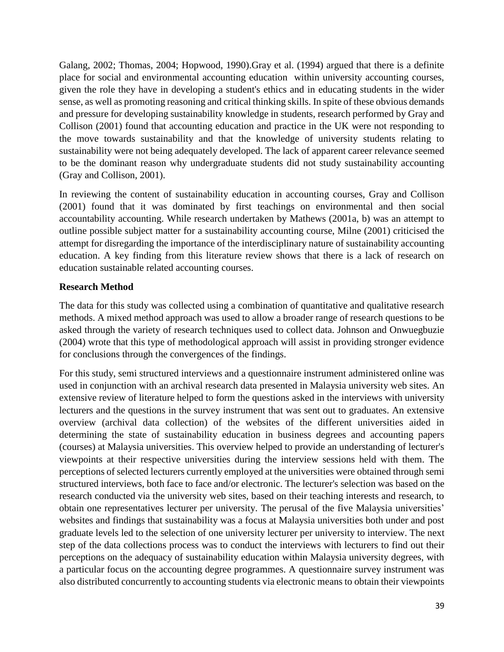Galang, 2002; Thomas, 2004; Hopwood, 1990).Gray et al. (1994) argued that there is a definite place for social and environmental accounting education within university accounting courses, given the role they have in developing a student's ethics and in educating students in the wider sense, as well as promoting reasoning and critical thinking skills. In spite of these obvious demands and pressure for developing sustainability knowledge in students, research performed by Gray and Collison (2001) found that accounting education and practice in the UK were not responding to the move towards sustainability and that the knowledge of university students relating to sustainability were not being adequately developed. The lack of apparent career relevance seemed to be the dominant reason why undergraduate students did not study sustainability accounting (Gray and Collison, 2001).

In reviewing the content of sustainability education in accounting courses, Gray and Collison (2001) found that it was dominated by first teachings on environmental and then social accountability accounting. While research undertaken by Mathews (2001a, b) was an attempt to outline possible subject matter for a sustainability accounting course, Milne (2001) criticised the attempt for disregarding the importance of the interdisciplinary nature of sustainability accounting education. A key finding from this literature review shows that there is a lack of research on education sustainable related accounting courses.

# **Research Method**

The data for this study was collected using a combination of quantitative and qualitative research methods. A mixed method approach was used to allow a broader range of research questions to be asked through the variety of research techniques used to collect data. Johnson and Onwuegbuzie (2004) wrote that this type of methodological approach will assist in providing stronger evidence for conclusions through the convergences of the findings.

For this study, semi structured interviews and a questionnaire instrument administered online was used in conjunction with an archival research data presented in Malaysia university web sites. An extensive review of literature helped to form the questions asked in the interviews with university lecturers and the questions in the survey instrument that was sent out to graduates. An extensive overview (archival data collection) of the websites of the different universities aided in determining the state of sustainability education in business degrees and accounting papers (courses) at Malaysia universities. This overview helped to provide an understanding of lecturer's viewpoints at their respective universities during the interview sessions held with them. The perceptions of selected lecturers currently employed at the universities were obtained through semi structured interviews, both face to face and/or electronic. The lecturer's selection was based on the research conducted via the university web sites, based on their teaching interests and research, to obtain one representatives lecturer per university. The perusal of the five Malaysia universities' websites and findings that sustainability was a focus at Malaysia universities both under and post graduate levels led to the selection of one university lecturer per university to interview. The next step of the data collections process was to conduct the interviews with lecturers to find out their perceptions on the adequacy of sustainability education within Malaysia university degrees, with a particular focus on the accounting degree programmes. A questionnaire survey instrument was also distributed concurrently to accounting students via electronic means to obtain their viewpoints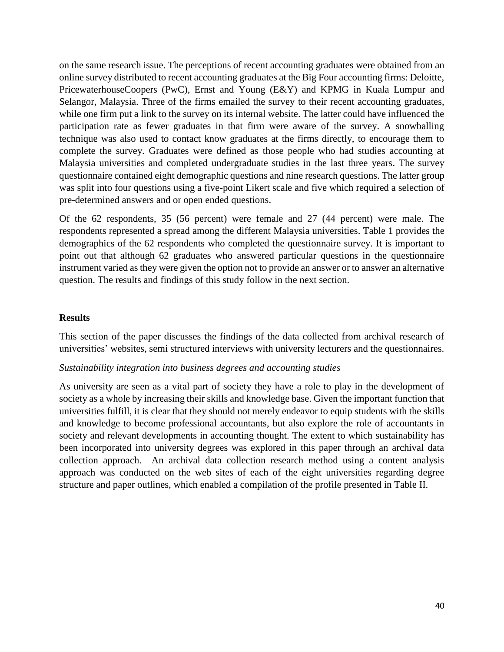on the same research issue. The perceptions of recent accounting graduates were obtained from an online survey distributed to recent accounting graduates at the Big Four accounting firms: Deloitte, PricewaterhouseCoopers (PwC), Ernst and Young (E&Y) and KPMG in Kuala Lumpur and Selangor, Malaysia. Three of the firms emailed the survey to their recent accounting graduates, while one firm put a link to the survey on its internal website. The latter could have influenced the participation rate as fewer graduates in that firm were aware of the survey. A snowballing technique was also used to contact know graduates at the firms directly, to encourage them to complete the survey. Graduates were defined as those people who had studies accounting at Malaysia universities and completed undergraduate studies in the last three years. The survey questionnaire contained eight demographic questions and nine research questions. The latter group was split into four questions using a five-point Likert scale and five which required a selection of pre-determined answers and or open ended questions.

Of the 62 respondents, 35 (56 percent) were female and 27 (44 percent) were male. The respondents represented a spread among the different Malaysia universities. Table 1 provides the demographics of the 62 respondents who completed the questionnaire survey. It is important to point out that although 62 graduates who answered particular questions in the questionnaire instrument varied as they were given the option not to provide an answer or to answer an alternative question. The results and findings of this study follow in the next section.

## **Results**

This section of the paper discusses the findings of the data collected from archival research of universities' websites, semi structured interviews with university lecturers and the questionnaires.

## *Sustainability integration into business degrees and accounting studies*

As university are seen as a vital part of society they have a role to play in the development of society as a whole by increasing their skills and knowledge base. Given the important function that universities fulfill, it is clear that they should not merely endeavor to equip students with the skills and knowledge to become professional accountants, but also explore the role of accountants in society and relevant developments in accounting thought. The extent to which sustainability has been incorporated into university degrees was explored in this paper through an archival data collection approach. An archival data collection research method using a content analysis approach was conducted on the web sites of each of the eight universities regarding degree structure and paper outlines, which enabled a compilation of the profile presented in Table II.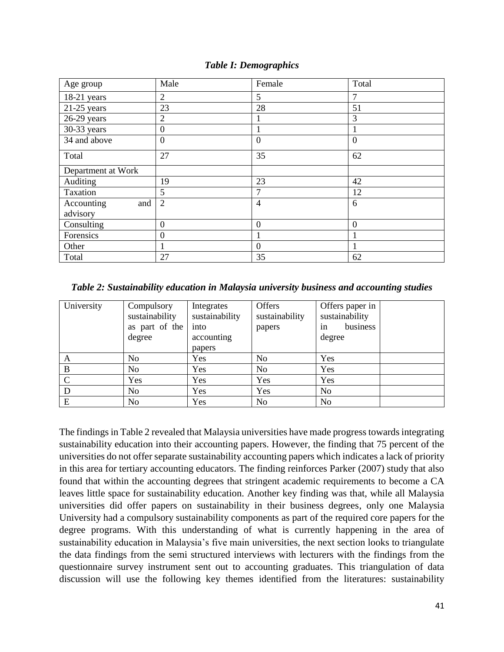| Age group          | Male             | Female           | Total            |
|--------------------|------------------|------------------|------------------|
| 18-21 years        | 2                | 5                | 7                |
| $21-25$ years      | 23               | 28               | 51               |
| $26-29$ years      | $\overline{2}$   |                  | 3                |
| 30-33 years        | $\boldsymbol{0}$ |                  |                  |
| 34 and above       | $\boldsymbol{0}$ | $\boldsymbol{0}$ | $\boldsymbol{0}$ |
| Total              | 27               | 35               | 62               |
| Department at Work |                  |                  |                  |
| Auditing           | 19               | 23               | 42               |
| Taxation           | 5                | 7                | 12               |
| Accounting<br>and  | $\overline{2}$   | $\overline{4}$   | 6                |
| advisory           |                  |                  |                  |
| Consulting         | $\boldsymbol{0}$ | $\theta$         | $\boldsymbol{0}$ |
| Forensics          | $\boldsymbol{0}$ |                  |                  |
| Other              |                  | $\theta$         |                  |
| Total              | 27               | 35               | 62               |

*Table 2: Sustainability education in Malaysia university business and accounting studies*

| University    | Compulsory<br>sustainability<br>as part of the<br>degree | Integrates<br>sustainability<br>into<br>accounting<br>papers | <b>Offers</b><br>sustainability<br>papers | Offers paper in<br>sustainability<br>business<br>1n<br>degree |
|---------------|----------------------------------------------------------|--------------------------------------------------------------|-------------------------------------------|---------------------------------------------------------------|
| A             | N <sub>0</sub>                                           | Yes                                                          | No                                        | Yes                                                           |
| B             | N <sub>o</sub>                                           | Yes                                                          | No                                        | Yes                                                           |
| $\mathcal{C}$ | Yes                                                      | Yes                                                          | Yes                                       | Yes                                                           |
| D             | N <sub>o</sub>                                           | Yes                                                          | Yes                                       | N <sub>0</sub>                                                |
| E             | N <sub>0</sub>                                           | Yes                                                          | N <sub>o</sub>                            | No                                                            |

The findings in Table 2 revealed that Malaysia universities have made progress towards integrating sustainability education into their accounting papers. However, the finding that 75 percent of the universities do not offer separate sustainability accounting papers which indicates a lack of priority in this area for tertiary accounting educators. The finding reinforces Parker (2007) study that also found that within the accounting degrees that stringent academic requirements to become a CA leaves little space for sustainability education. Another key finding was that, while all Malaysia universities did offer papers on sustainability in their business degrees, only one Malaysia University had a compulsory sustainability components as part of the required core papers for the degree programs. With this understanding of what is currently happening in the area of sustainability education in Malaysia's five main universities, the next section looks to triangulate the data findings from the semi structured interviews with lecturers with the findings from the questionnaire survey instrument sent out to accounting graduates. This triangulation of data discussion will use the following key themes identified from the literatures: sustainability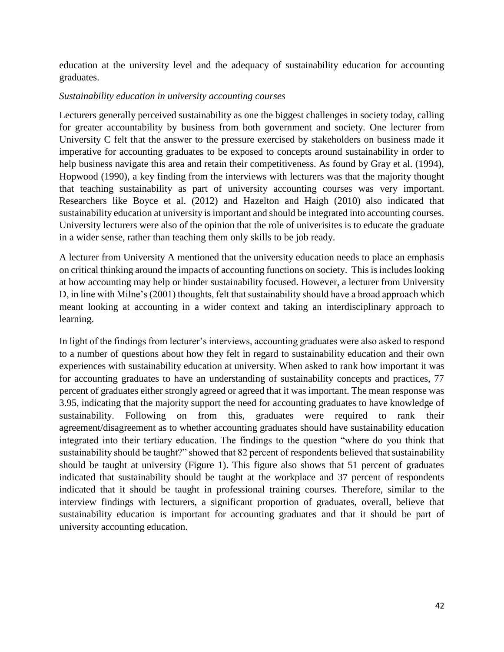education at the university level and the adequacy of sustainability education for accounting graduates.

## *Sustainability education in university accounting courses*

Lecturers generally perceived sustainability as one the biggest challenges in society today, calling for greater accountability by business from both government and society. One lecturer from University C felt that the answer to the pressure exercised by stakeholders on business made it imperative for accounting graduates to be exposed to concepts around sustainability in order to help business navigate this area and retain their competitiveness. As found by Gray et al. (1994), Hopwood (1990), a key finding from the interviews with lecturers was that the majority thought that teaching sustainability as part of university accounting courses was very important. Researchers like Boyce et al. (2012) and Hazelton and Haigh (2010) also indicated that sustainability education at university is important and should be integrated into accounting courses. University lecturers were also of the opinion that the role of univerisites is to educate the graduate in a wider sense, rather than teaching them only skills to be job ready.

A lecturer from University A mentioned that the university education needs to place an emphasis on critical thinking around the impacts of accounting functions on society. This is includes looking at how accounting may help or hinder sustainability focused. However, a lecturer from University D, in line with Milne's (2001) thoughts, felt that sustainability should have a broad approach which meant looking at accounting in a wider context and taking an interdisciplinary approach to learning.

In light of the findings from lecturer's interviews, accounting graduates were also asked to respond to a number of questions about how they felt in regard to sustainability education and their own experiences with sustainability education at university. When asked to rank how important it was for accounting graduates to have an understanding of sustainability concepts and practices, 77 percent of graduates either strongly agreed or agreed that it was important. The mean response was 3.95, indicating that the majority support the need for accounting graduates to have knowledge of sustainability. Following on from this, graduates were required to rank their agreement/disagreement as to whether accounting graduates should have sustainability education integrated into their tertiary education. The findings to the question "where do you think that sustainability should be taught?" showed that 82 percent of respondents believed that sustainability should be taught at university (Figure 1). This figure also shows that 51 percent of graduates indicated that sustainability should be taught at the workplace and 37 percent of respondents indicated that it should be taught in professional training courses. Therefore, similar to the interview findings with lecturers, a significant proportion of graduates, overall, believe that sustainability education is important for accounting graduates and that it should be part of university accounting education.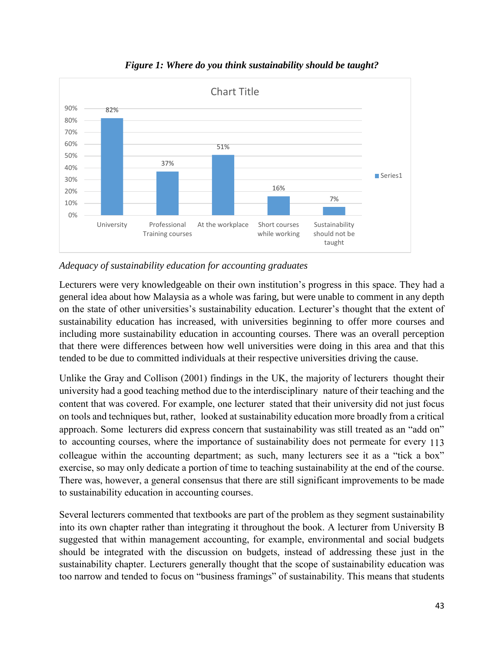

*Figure 1: Where do you think sustainability should be taught?*

# *Adequacy of sustainability education for accounting graduates*

Lecturers were very knowledgeable on their own institution's progress in this space. They had a general idea about how Malaysia as a whole was faring, but were unable to comment in any depth on the state of other universities's sustainability education. Lecturer's thought that the extent of sustainability education has increased, with universities beginning to offer more courses and including more sustainability education in accounting courses. There was an overall perception that there were differences between how well universities were doing in this area and that this tended to be due to committed individuals at their respective universities driving the cause.

Unlike the Gray and Collison (2001) findings in the UK, the majority of lecturers thought their university had a good teaching method due to the interdisciplinary nature of their teaching and the content that was covered. For example, one lecturer stated that their university did not just focus on tools and techniques but, rather, looked at sustainability education more broadly from a critical approach. Some lecturers did express concern that sustainability was still treated as an "add on" to accounting courses, where the importance of sustainability does not permeate for every 113 colleague within the accounting department; as such, many lecturers see it as a "tick a box" exercise, so may only dedicate a portion of time to teaching sustainability at the end of the course. There was, however, a general consensus that there are still significant improvements to be made to sustainability education in accounting courses.

Several lecturers commented that textbooks are part of the problem as they segment sustainability into its own chapter rather than integrating it throughout the book. A lecturer from University B suggested that within management accounting, for example, environmental and social budgets should be integrated with the discussion on budgets, instead of addressing these just in the sustainability chapter. Lecturers generally thought that the scope of sustainability education was too narrow and tended to focus on "business framings" of sustainability. This means that students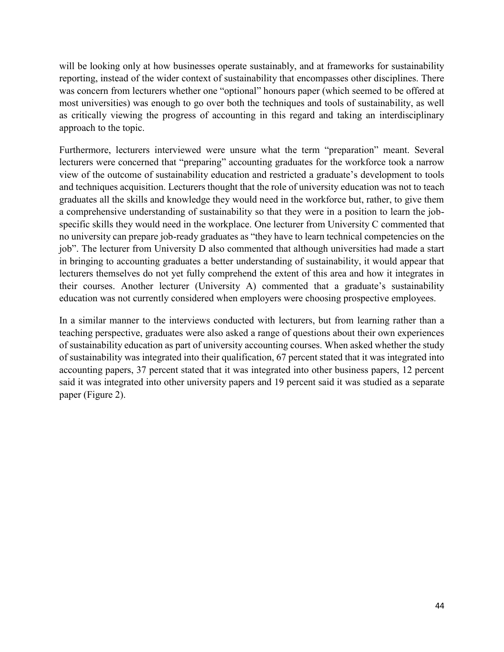will be looking only at how businesses operate sustainably, and at frameworks for sustainability reporting, instead of the wider context of sustainability that encompasses other disciplines. There was concern from lecturers whether one "optional" honours paper (which seemed to be offered at most universities) was enough to go over both the techniques and tools of sustainability, as well as critically viewing the progress of accounting in this regard and taking an interdisciplinary approach to the topic.

Furthermore, lecturers interviewed were unsure what the term "preparation" meant. Several lecturers were concerned that "preparing" accounting graduates for the workforce took a narrow view of the outcome of sustainability education and restricted a graduate's development to tools and techniques acquisition. Lecturers thought that the role of university education was not to teach graduates all the skills and knowledge they would need in the workforce but, rather, to give them a comprehensive understanding of sustainability so that they were in a position to learn the jobspecific skills they would need in the workplace. One lecturer from University C commented that no university can prepare job-ready graduates as "they have to learn technical competencies on the job". The lecturer from University D also commented that although universities had made a start in bringing to accounting graduates a better understanding of sustainability, it would appear that lecturers themselves do not yet fully comprehend the extent of this area and how it integrates in their courses. Another lecturer (University A) commented that a graduate's sustainability education was not currently considered when employers were choosing prospective employees.

In a similar manner to the interviews conducted with lecturers, but from learning rather than a teaching perspective, graduates were also asked a range of questions about their own experiences of sustainability education as part of university accounting courses. When asked whether the study of sustainability was integrated into their qualification, 67 percent stated that it was integrated into accounting papers, 37 percent stated that it was integrated into other business papers, 12 percent said it was integrated into other university papers and 19 percent said it was studied as a separate paper (Figure 2).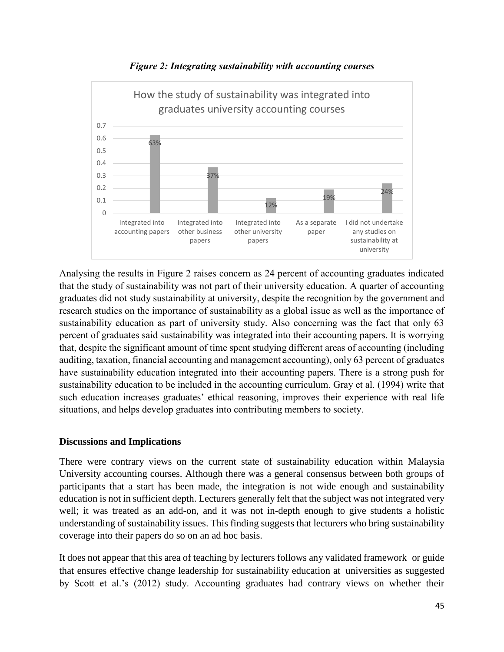

## *Figure 2: Integrating sustainability with accounting courses*

Analysing the results in Figure 2 raises concern as 24 percent of accounting graduates indicated that the study of sustainability was not part of their university education. A quarter of accounting graduates did not study sustainability at university, despite the recognition by the government and research studies on the importance of sustainability as a global issue as well as the importance of sustainability education as part of university study. Also concerning was the fact that only 63 percent of graduates said sustainability was integrated into their accounting papers. It is worrying that, despite the significant amount of time spent studying different areas of accounting (including auditing, taxation, financial accounting and management accounting), only 63 percent of graduates have sustainability education integrated into their accounting papers. There is a strong push for sustainability education to be included in the accounting curriculum. Gray et al. (1994) write that such education increases graduates' ethical reasoning, improves their experience with real life situations, and helps develop graduates into contributing members to society.

# **Discussions and Implications**

There were contrary views on the current state of sustainability education within Malaysia University accounting courses. Although there was a general consensus between both groups of participants that a start has been made, the integration is not wide enough and sustainability education is not in sufficient depth. Lecturers generally felt that the subject was not integrated very well; it was treated as an add-on, and it was not in-depth enough to give students a holistic understanding of sustainability issues. This finding suggests that lecturers who bring sustainability coverage into their papers do so on an ad hoc basis.

It does not appear that this area of teaching by lecturers follows any validated framework or guide that ensures effective change leadership for sustainability education at universities as suggested by Scott et al.'s (2012) study. Accounting graduates had contrary views on whether their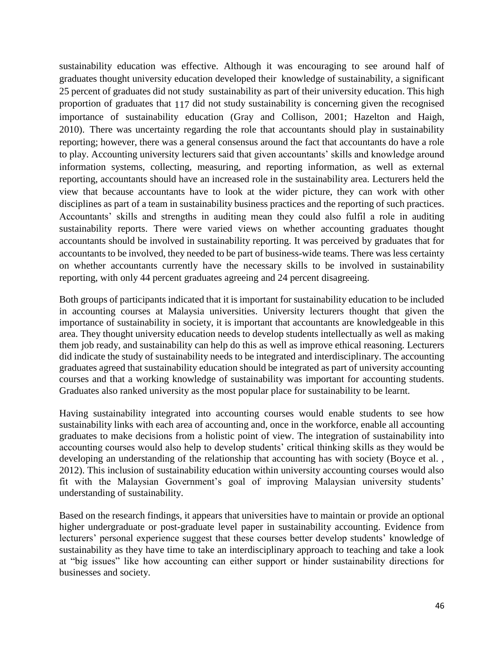sustainability education was effective. Although it was encouraging to see around half of graduates thought university education developed their knowledge of sustainability, a significant 25 percent of graduates did not study sustainability as part of their university education. This high proportion of graduates that 117 did not study sustainability is concerning given the recognised importance of sustainability education (Gray and Collison, 2001; Hazelton and Haigh, 2010). There was uncertainty regarding the role that accountants should play in sustainability reporting; however, there was a general consensus around the fact that accountants do have a role to play. Accounting university lecturers said that given accountants' skills and knowledge around information systems, collecting, measuring, and reporting information, as well as external reporting, accountants should have an increased role in the sustainability area. Lecturers held the view that because accountants have to look at the wider picture, they can work with other disciplines as part of a team in sustainability business practices and the reporting of such practices. Accountants' skills and strengths in auditing mean they could also fulfil a role in auditing sustainability reports. There were varied views on whether accounting graduates thought accountants should be involved in sustainability reporting. It was perceived by graduates that for accountants to be involved, they needed to be part of business-wide teams. There was less certainty on whether accountants currently have the necessary skills to be involved in sustainability reporting, with only 44 percent graduates agreeing and 24 percent disagreeing.

Both groups of participants indicated that it is important for sustainability education to be included in accounting courses at Malaysia universities. University lecturers thought that given the importance of sustainability in society, it is important that accountants are knowledgeable in this area. They thought university education needs to develop students intellectually as well as making them job ready, and sustainability can help do this as well as improve ethical reasoning. Lecturers did indicate the study of sustainability needs to be integrated and interdisciplinary. The accounting graduates agreed that sustainability education should be integrated as part of university accounting courses and that a working knowledge of sustainability was important for accounting students. Graduates also ranked university as the most popular place for sustainability to be learnt.

Having sustainability integrated into accounting courses would enable students to see how sustainability links with each area of accounting and, once in the workforce, enable all accounting graduates to make decisions from a holistic point of view. The integration of sustainability into accounting courses would also help to develop students' critical thinking skills as they would be developing an understanding of the relationship that accounting has with society (Boyce et al. , 2012). This inclusion of sustainability education within university accounting courses would also fit with the Malaysian Government's goal of improving Malaysian university students' understanding of sustainability.

Based on the research findings, it appears that universities have to maintain or provide an optional higher undergraduate or post-graduate level paper in sustainability accounting. Evidence from lecturers' personal experience suggest that these courses better develop students' knowledge of sustainability as they have time to take an interdisciplinary approach to teaching and take a look at "big issues" like how accounting can either support or hinder sustainability directions for businesses and society.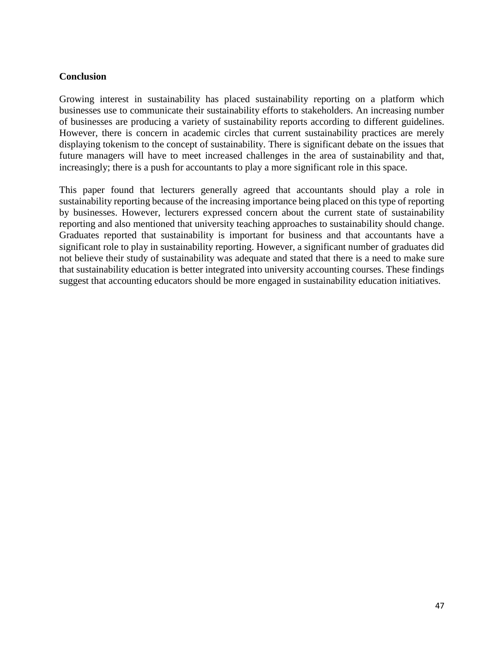## **Conclusion**

Growing interest in sustainability has placed sustainability reporting on a platform which businesses use to communicate their sustainability efforts to stakeholders. An increasing number of businesses are producing a variety of sustainability reports according to different guidelines. However, there is concern in academic circles that current sustainability practices are merely displaying tokenism to the concept of sustainability. There is significant debate on the issues that future managers will have to meet increased challenges in the area of sustainability and that, increasingly; there is a push for accountants to play a more significant role in this space.

This paper found that lecturers generally agreed that accountants should play a role in sustainability reporting because of the increasing importance being placed on this type of reporting by businesses. However, lecturers expressed concern about the current state of sustainability reporting and also mentioned that university teaching approaches to sustainability should change. Graduates reported that sustainability is important for business and that accountants have a significant role to play in sustainability reporting. However, a significant number of graduates did not believe their study of sustainability was adequate and stated that there is a need to make sure that sustainability education is better integrated into university accounting courses. These findings suggest that accounting educators should be more engaged in sustainability education initiatives.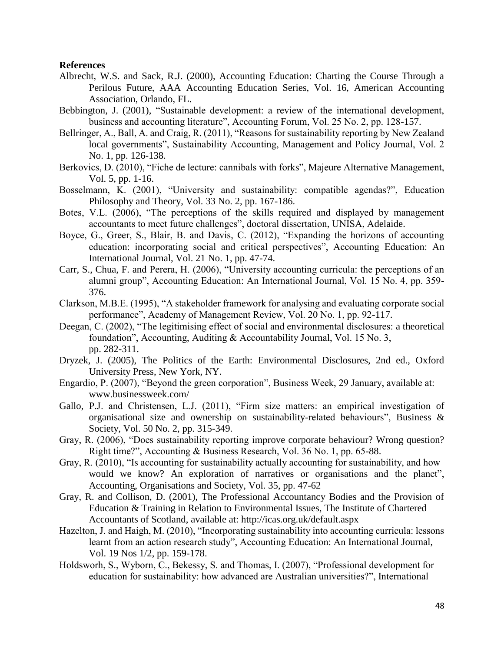#### **References**

- Albrecht, W.S. and Sack, R.J. (2000), Accounting Education: Charting the Course Through a Perilous Future, AAA Accounting Education Series, Vol. 16, American Accounting Association, Orlando, FL.
- Bebbington, J. (2001), "Sustainable development: a review of the international development, business and accounting literature", Accounting Forum, Vol. 25 No. 2, pp. 128-157.
- Bellringer, A., Ball, A. and Craig, R. (2011), "Reasons for sustainability reporting by New Zealand local governments", Sustainability Accounting, Management and Policy Journal, Vol. 2 No. 1, pp. 126-138.
- Berkovics, D. (2010), "Fiche de lecture: cannibals with forks", Majeure Alternative Management, Vol. 5, pp. 1-16.
- Bosselmann, K. (2001), "University and sustainability: compatible agendas?", Education Philosophy and Theory, Vol. 33 No. 2, pp. 167-186.
- Botes, V.L. (2006), "The perceptions of the skills required and displayed by management accountants to meet future challenges", doctoral dissertation, UNISA, Adelaide.
- Boyce, G., Greer, S., Blair, B. and Davis, C. (2012), "Expanding the horizons of accounting education: incorporating social and critical perspectives", Accounting Education: An International Journal, Vol. 21 No. 1, pp. 47-74.
- Carr, S., Chua, F. and Perera, H. (2006), "University accounting curricula: the perceptions of an alumni group", Accounting Education: An International Journal, Vol. 15 No. 4, pp. 359- 376.
- Clarkson, M.B.E. (1995), "A stakeholder framework for analysing and evaluating corporate social performance", Academy of Management Review, Vol. 20 No. 1, pp. 92-117.
- Deegan, C. (2002), "The legitimising effect of social and environmental disclosures: a theoretical foundation", Accounting, Auditing & Accountability Journal, Vol. 15 No. 3, pp. 282-311.
- Dryzek, J. (2005), The Politics of the Earth: Environmental Disclosures, 2nd ed., Oxford University Press, New York, NY.
- Engardio, P. (2007), "Beyond the green corporation", Business Week, 29 January, available at: www.businessweek.com/
- Gallo, P.J. and Christensen, L.J. (2011), "Firm size matters: an empirical investigation of organisational size and ownership on sustainability-related behaviours", Business & Society, Vol. 50 No. 2, pp. 315-349.
- Gray, R. (2006), "Does sustainability reporting improve corporate behaviour? Wrong question? Right time?", Accounting & Business Research, Vol. 36 No. 1, pp. 65-88.
- Gray, R. (2010), "Is accounting for sustainability actually accounting for sustainability, and how would we know? An exploration of narratives or organisations and the planet", Accounting, Organisations and Society, Vol. 35, pp. 47-62
- Gray, R. and Collison, D. (2001), The Professional Accountancy Bodies and the Provision of Education & Training in Relation to Environmental Issues, The Institute of Chartered Accountants of Scotland, available at: http://icas.org.uk/default.aspx
- Hazelton, J. and Haigh, M. (2010), "Incorporating sustainability into accounting curricula: lessons learnt from an action research study", Accounting Education: An International Journal, Vol. 19 Nos 1/2, pp. 159-178.
- Holdsworh, S., Wyborn, C., Bekessy, S. and Thomas, I. (2007), "Professional development for education for sustainability: how advanced are Australian universities?", International